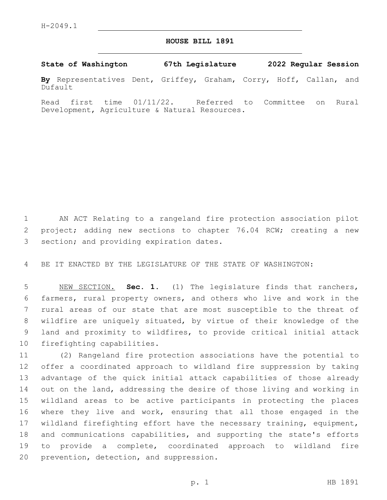## **HOUSE BILL 1891**

**State of Washington 67th Legislature 2022 Regular Session**

**By** Representatives Dent, Griffey, Graham, Corry, Hoff, Callan, and Dufault

Read first time 01/11/22. Referred to Committee on Rural Development, Agriculture & Natural Resources.

 AN ACT Relating to a rangeland fire protection association pilot project; adding new sections to chapter 76.04 RCW; creating a new 3 section; and providing expiration dates.

BE IT ENACTED BY THE LEGISLATURE OF THE STATE OF WASHINGTON:

 NEW SECTION. **Sec. 1.** (1) The legislature finds that ranchers, farmers, rural property owners, and others who live and work in the rural areas of our state that are most susceptible to the threat of wildfire are uniquely situated, by virtue of their knowledge of the land and proximity to wildfires, to provide critical initial attack firefighting capabilities.

 (2) Rangeland fire protection associations have the potential to offer a coordinated approach to wildland fire suppression by taking advantage of the quick initial attack capabilities of those already 14 out on the land, addressing the desire of those living and working in wildland areas to be active participants in protecting the places where they live and work, ensuring that all those engaged in the wildland firefighting effort have the necessary training, equipment, and communications capabilities, and supporting the state's efforts to provide a complete, coordinated approach to wildland fire 20 prevention, detection, and suppression.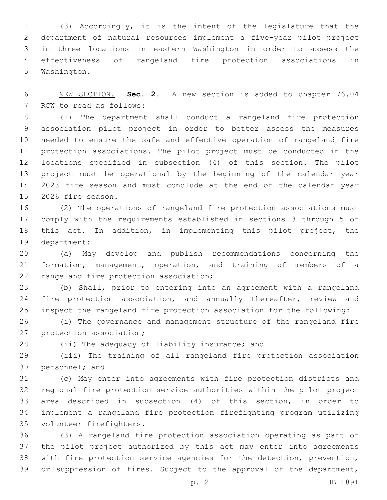(3) Accordingly, it is the intent of the legislature that the department of natural resources implement a five-year pilot project in three locations in eastern Washington in order to assess the effectiveness of rangeland fire protection associations in 5 Washington.

 NEW SECTION. **Sec. 2.** A new section is added to chapter 76.04 7 RCW to read as follows:

 (1) The department shall conduct a rangeland fire protection association pilot project in order to better assess the measures needed to ensure the safe and effective operation of rangeland fire protection associations. The pilot project must be conducted in the locations specified in subsection (4) of this section. The pilot project must be operational by the beginning of the calendar year 2023 fire season and must conclude at the end of the calendar year 15 2026 fire season.

 (2) The operations of rangeland fire protection associations must comply with the requirements established in sections 3 through 5 of this act. In addition, in implementing this pilot project, the 19 department:

 (a) May develop and publish recommendations concerning the formation, management, operation, and training of members of a 22 rangeland fire protection association;

 (b) Shall, prior to entering into an agreement with a rangeland 24 fire protection association, and annually thereafter, review and inspect the rangeland fire protection association for the following:

 (i) The governance and management structure of the rangeland fire 27 protection association;

28 (ii) The adequacy of liability insurance; and

 (iii) The training of all rangeland fire protection association 30 personnel; and

 (c) May enter into agreements with fire protection districts and regional fire protection service authorities within the pilot project area described in subsection (4) of this section, in order to implement a rangeland fire protection firefighting program utilizing 35 volunteer firefighters.

 (3) A rangeland fire protection association operating as part of the pilot project authorized by this act may enter into agreements with fire protection service agencies for the detection, prevention, or suppression of fires. Subject to the approval of the department,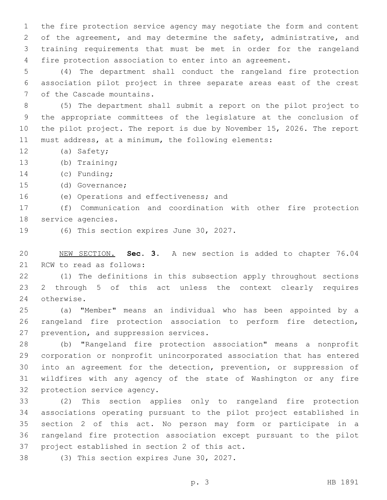the fire protection service agency may negotiate the form and content 2 of the agreement, and may determine the safety, administrative, and training requirements that must be met in order for the rangeland fire protection association to enter into an agreement.

5 (4) The department shall conduct the rangeland fire protection 6 association pilot project in three separate areas east of the crest 7 of the Cascade mountains.

 (5) The department shall submit a report on the pilot project to the appropriate committees of the legislature at the conclusion of the pilot project. The report is due by November 15, 2026. The report must address, at a minimum, the following elements:

12 (a) Safety;

13 (b) Training;

14 (c) Funding;

15 (d) Governance;

16 (e) Operations and effectiveness; and

17 (f) Communication and coordination with other fire protection 18 service agencies.

19 (6) This section expires June 30, 2027.

20 NEW SECTION. **Sec. 3.** A new section is added to chapter 76.04 21 RCW to read as follows:

22 (1) The definitions in this subsection apply throughout sections 23 2 through 5 of this act unless the context clearly requires 24 otherwise.

25 (a) "Member" means an individual who has been appointed by a 26 rangeland fire protection association to perform fire detection, 27 prevention, and suppression services.

 (b) "Rangeland fire protection association" means a nonprofit corporation or nonprofit unincorporated association that has entered into an agreement for the detection, prevention, or suppression of wildfires with any agency of the state of Washington or any fire 32 protection service agency.

 (2) This section applies only to rangeland fire protection associations operating pursuant to the pilot project established in section 2 of this act. No person may form or participate in a rangeland fire protection association except pursuant to the pilot 37 project established in section 2 of this act.

38 (3) This section expires June 30, 2027.

p. 3 HB 1891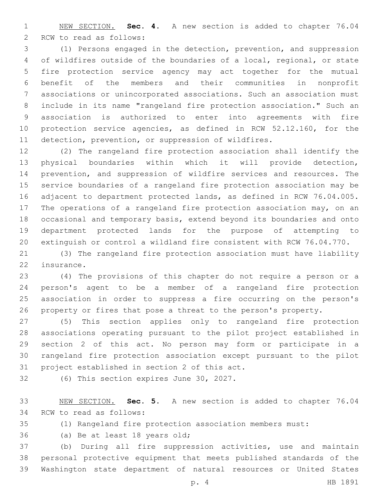NEW SECTION. **Sec. 4.** A new section is added to chapter 76.04 2 RCW to read as follows:

 (1) Persons engaged in the detection, prevention, and suppression of wildfires outside of the boundaries of a local, regional, or state fire protection service agency may act together for the mutual benefit of the members and their communities in nonprofit associations or unincorporated associations. Such an association must include in its name "rangeland fire protection association." Such an association is authorized to enter into agreements with fire protection service agencies, as defined in RCW 52.12.160, for the detection, prevention, or suppression of wildfires.

 (2) The rangeland fire protection association shall identify the physical boundaries within which it will provide detection, prevention, and suppression of wildfire services and resources. The service boundaries of a rangeland fire protection association may be adjacent to department protected lands, as defined in RCW 76.04.005. 17 The operations of a rangeland fire protection association may, on an occasional and temporary basis, extend beyond its boundaries and onto department protected lands for the purpose of attempting to extinguish or control a wildland fire consistent with RCW 76.04.770.

 (3) The rangeland fire protection association must have liability 22 insurance.

 (4) The provisions of this chapter do not require a person or a person's agent to be a member of a rangeland fire protection association in order to suppress a fire occurring on the person's property or fires that pose a threat to the person's property.

 (5) This section applies only to rangeland fire protection associations operating pursuant to the pilot project established in section 2 of this act. No person may form or participate in a rangeland fire protection association except pursuant to the pilot 31 project established in section 2 of this act.

32 (6) This section expires June 30, 2027.

 NEW SECTION. **Sec. 5.** A new section is added to chapter 76.04 34 RCW to read as follows:

(1) Rangeland fire protection association members must:

36 (a) Be at least 18 years old;

 (b) During all fire suppression activities, use and maintain personal protective equipment that meets published standards of the Washington state department of natural resources or United States